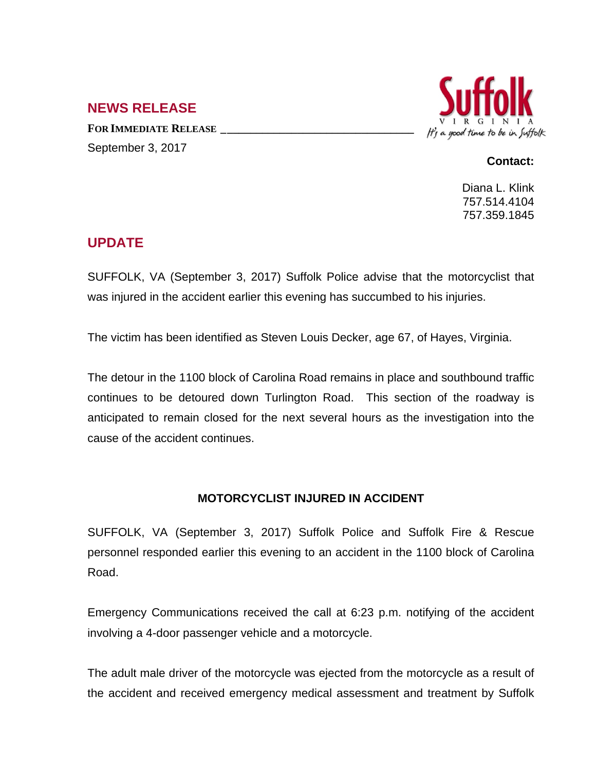## **NEWS RELEASE**

**FOR IMMEDIATE RELEASE \_\_\_\_\_\_\_\_\_\_\_\_\_\_\_\_\_\_\_\_\_\_\_\_\_\_\_\_\_\_\_\_\_** September 3, 2017



## **Contact:**

Diana L. Klink 757.514.4104 757.359.1845

## **UPDATE**

SUFFOLK, VA (September 3, 2017) Suffolk Police advise that the motorcyclist that was injured in the accident earlier this evening has succumbed to his injuries.

The victim has been identified as Steven Louis Decker, age 67, of Hayes, Virginia.

The detour in the 1100 block of Carolina Road remains in place and southbound traffic continues to be detoured down Turlington Road. This section of the roadway is anticipated to remain closed for the next several hours as the investigation into the cause of the accident continues.

## **MOTORCYCLIST INJURED IN ACCIDENT**

SUFFOLK, VA (September 3, 2017) Suffolk Police and Suffolk Fire & Rescue personnel responded earlier this evening to an accident in the 1100 block of Carolina Road.

Emergency Communications received the call at 6:23 p.m. notifying of the accident involving a 4-door passenger vehicle and a motorcycle.

The adult male driver of the motorcycle was ejected from the motorcycle as a result of the accident and received emergency medical assessment and treatment by Suffolk